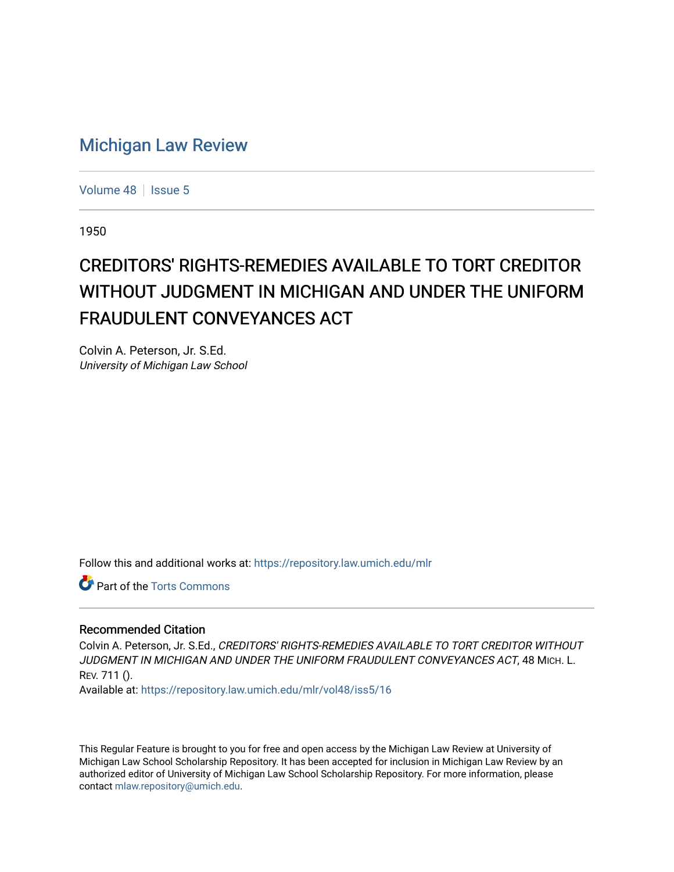## [Michigan Law Review](https://repository.law.umich.edu/mlr)

[Volume 48](https://repository.law.umich.edu/mlr/vol48) | [Issue 5](https://repository.law.umich.edu/mlr/vol48/iss5)

1950

## CREDITORS' RIGHTS-REMEDIES AVAILABLE TO TORT CREDITOR WITHOUT JUDGMENT IN MICHIGAN AND UNDER THE UNIFORM FRAUDULENT CONVEYANCES ACT

Colvin A. Peterson, Jr. S.Ed. University of Michigan Law School

Follow this and additional works at: [https://repository.law.umich.edu/mlr](https://repository.law.umich.edu/mlr?utm_source=repository.law.umich.edu%2Fmlr%2Fvol48%2Fiss5%2F16&utm_medium=PDF&utm_campaign=PDFCoverPages) 

**P** Part of the [Torts Commons](http://network.bepress.com/hgg/discipline/913?utm_source=repository.law.umich.edu%2Fmlr%2Fvol48%2Fiss5%2F16&utm_medium=PDF&utm_campaign=PDFCoverPages)

## Recommended Citation

Colvin A. Peterson, Jr. S.Ed., CREDITORS' RIGHTS-REMEDIES AVAILABLE TO TORT CREDITOR WITHOUT JUDGMENT IN MICHIGAN AND UNDER THE UNIFORM FRAUDULENT CONVEYANCES ACT, 48 MICH. L. REV. 711 ().

Available at: [https://repository.law.umich.edu/mlr/vol48/iss5/16](https://repository.law.umich.edu/mlr/vol48/iss5/16?utm_source=repository.law.umich.edu%2Fmlr%2Fvol48%2Fiss5%2F16&utm_medium=PDF&utm_campaign=PDFCoverPages) 

This Regular Feature is brought to you for free and open access by the Michigan Law Review at University of Michigan Law School Scholarship Repository. It has been accepted for inclusion in Michigan Law Review by an authorized editor of University of Michigan Law School Scholarship Repository. For more information, please contact [mlaw.repository@umich.edu](mailto:mlaw.repository@umich.edu).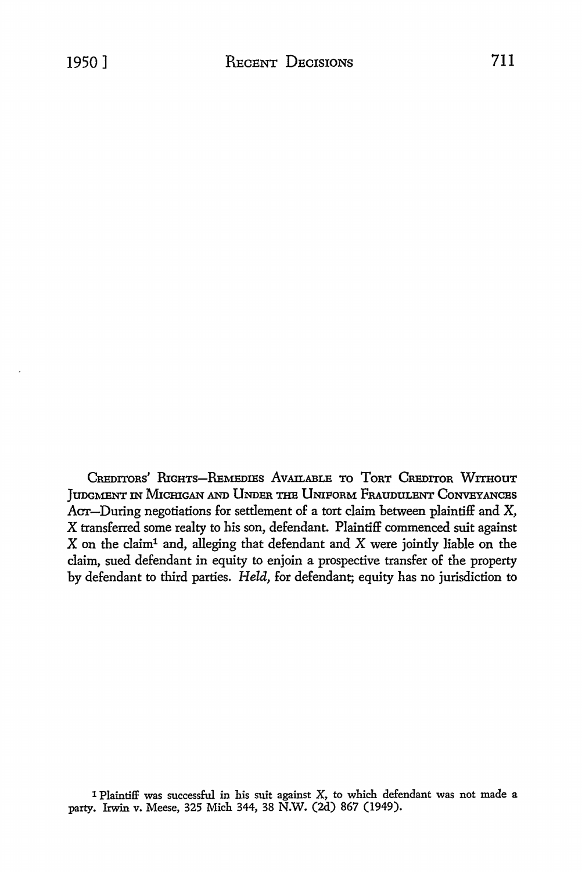CREDITORS' RIGHTS-REMEDIES AVAILABLE TO TORT CREDITOR WITHOUT JUDGMENT IN MICHIGAN AND UNDER THE UNIFORM FRAUDULENT CONVEYANCES Acr-During negotiations for settlement of a tort claim between plaintiff and X, X transferred some realty to his son, defendant. Plaintiff commenced suit against X on the claim1 and, alleging that defendant and X were jointly liable on the claim, sued defendant in equity to enjoin a prospective transfer of the property by defendant to third parties. *Held,* for defendant; equity has no jurisdiction to

<sup>1</sup> Plaintiff was successful in his suit against X, to which defendant was not made a party. Irwin v. Meese, 325 Mich 344, 38 N.W. (2d) 867 (1949).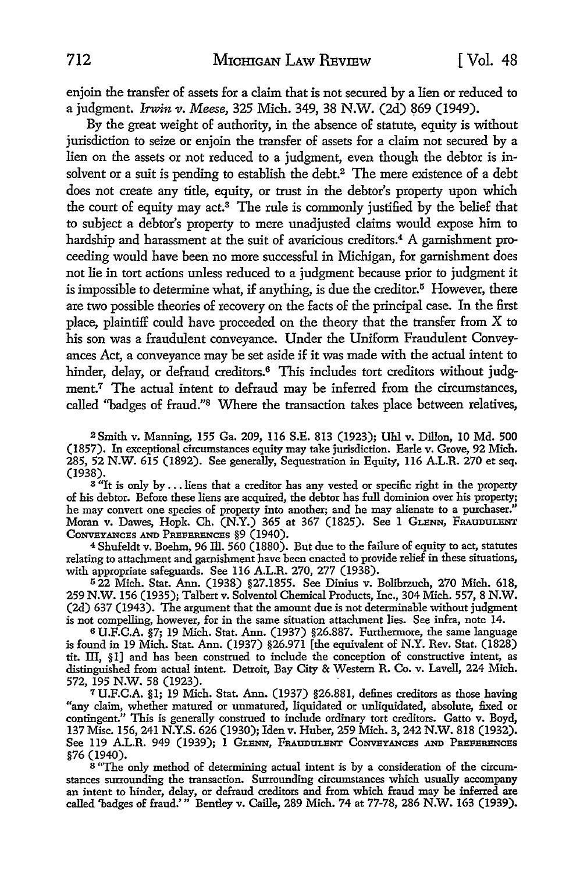enjoin the transfer of assets for a claim that is not secured by a lien or reduced to a judgment. *Irwin v. Meese*, 325 Mich. 349, 38 N.W. (2d) 869 (1949).

By the great weight of authority, in the absence of statute, equity is without jurisdiction to seize or enjoin the transfer of assets for a claim not secured by a lien on the assets or not reduced to a judgment, even though the debtor is insolvent or a suit is pending to establish the debt.<sup>2</sup> The mere existence of a debt does not create any title, equity, or trust in the debtor's property upon which the court of equity may act.3 The rule is commonly justified by the belief that to subject a debtor's property to mere unadjusted claims would expose him to hardship and harassment at the suit of avaricious creditors.<sup>4</sup> A garnishment proceeding would have been no more successful in Michigan, for garnishment does not lie in tort actions unless reduced to a judgment because prior to judgment it is impossible to determine what, if anything, is due the creditor.<sup>5</sup> However, there are two possible theories of recovery on the facts of the principal case. In the first place, plaintiff could have proceeded on the theory that the transfer from X to his son was a fraudulent conveyance. Under the Uniform Fraudulent Conveyances Act, a conveyance may be set aside if it was made with the actual intent to hinder, delay, or defraud creditors.<sup>6</sup> This includes tort creditors without judgment.<sup>7</sup> The actual intent to defraud may be inferred from the circumstances, called ''badges of fraud."8 Where the transaction takes place between relatives,

<sup>2</sup>Smith v. Manning, 155 Ga. 209, 116 S.E. 813 (1923); Uhl v. Dillon, 10 Md. 500 (1857). In exceptional circumstances equity may take jurisdiction. Earle v. Grove, 92 Mich. 285, 52 N.W. 615 (1892). See generally, Sequestration in Equity, 116 A.L.R. 270 et seq. (1938).

 $3$  "It is only by ... liens that a creditor has any vested or specific right in the property of his debtor. Before these liens are acquired, the debtor has full dominion over his property; he may convert one species of property into another; and he may alienate to a purchaser." Moran v. Dawes, Hopk. Ch. (N.Y.) 365 at 367 (1825). See 1 GLENN, FRAUDULENT CONVEYANCES AND PREFERENCES §9 (1940).

<sup>4</sup>Shufeldt v. Boehm, 96 ill. 560 (1880). But due to the failure of equity to act, statutes relating to attachment and garnishment have been enacted to provide relief in these situations, with appropriate safeguards. See 116 A.L.R. 270, 277 (1938).

<sup>5</sup>22 Mich. Stat. Ann. (1938) §27.1855. See Dinius v. Bolibrzuch, 270 Mich. 618, 259 N.W. 156 (1935); Talbert v. Solventol Chemical Products, Inc., 304 Mich. 557, 8 N.W. (2d) 637 (1943). The argument that the amount due is not determinable without judgment is not compelling, however, for in the same situation attachment lies. See infra, note 14.

6 U.F.C.A. §7; 19 Mich. Stat. Ann. (1937) §26.887. Furthermore, the same language is found in 19 Mich. Stat. Ann. (1937) §26.971 [the equivalent of N.Y. Rev. Stat. (1828) tit. III, §1] and has been construed to include the conception of constructive intent, as distinguished from actual intent. Detroit, Bay City & Western R. Co. v. Lavell, 224 Mich. 572, 195 N.W. 58 (1923).

<sup>7</sup>U.F.C.A. §1; 19 Mich. Stat. Ann. (1937) §26.881, defines creditors as those having "any claim, whether matured or unmatured, liquidated or unliquidated, absolute, fixed or contingent." This is generally construed to include ordinary tort creditors. Gatto v. Boyd, 137 Misc. 156, 241 N.Y.S. 626 (1930); Iden v. Huber, 259 Mich. 3, 242 N.W. 818 (1932). See 119 A.L.R. 949 (1939); **1** GLENN, FRAUDULENT CONVEYANCES AND PREFERENCES §76 (1940).

<sup>8</sup> "The only method of determining actual intent is by a consideration of the circumstances surrounding the transaction. Surrounding circumstances which usually accompany an intent to hinder, delay, or defraud creditors and from which fraud may be inferred are called 'badges of fraud.'" Bentley v. Callie, 289 Mich. 74 at 77-78, 286 N.W. 163 (1939).